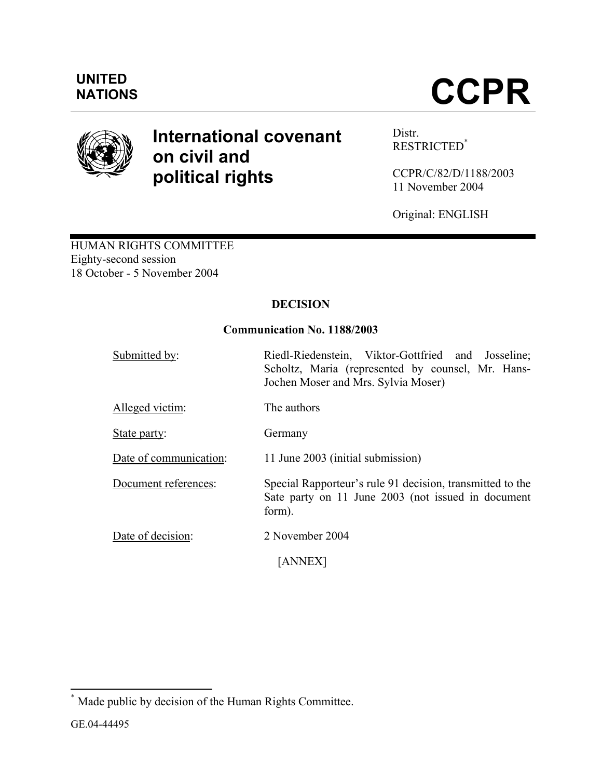

# **International covenant on civil and political rights**

Distr. RESTRICTED\*

CCPR/C/82/D/1188/2003 11 November 2004

Original: ENGLISH

HUMAN RIGHTS COMMITTEE Eighty-second session 18 October - 5 November 2004

## **DECISION**

## **Communication No. 1188/2003**

| Submitted by:          | Riedl-Riedenstein, Viktor-Gottfried and Josseline;<br>Scholtz, Maria (represented by counsel, Mr. Hans-<br>Jochen Moser and Mrs. Sylvia Moser) |
|------------------------|------------------------------------------------------------------------------------------------------------------------------------------------|
| Alleged victim:        | The authors                                                                                                                                    |
| State party:           | Germany                                                                                                                                        |
| Date of communication: | 11 June 2003 (initial submission)                                                                                                              |
| Document references:   | Special Rapporteur's rule 91 decision, transmitted to the<br>Sate party on 11 June 2003 (not issued in document<br>form).                      |
| Date of decision:      | 2 November 2004                                                                                                                                |
|                        | <b>ANNEX</b>                                                                                                                                   |

 \* Made public by decision of the Human Rights Committee.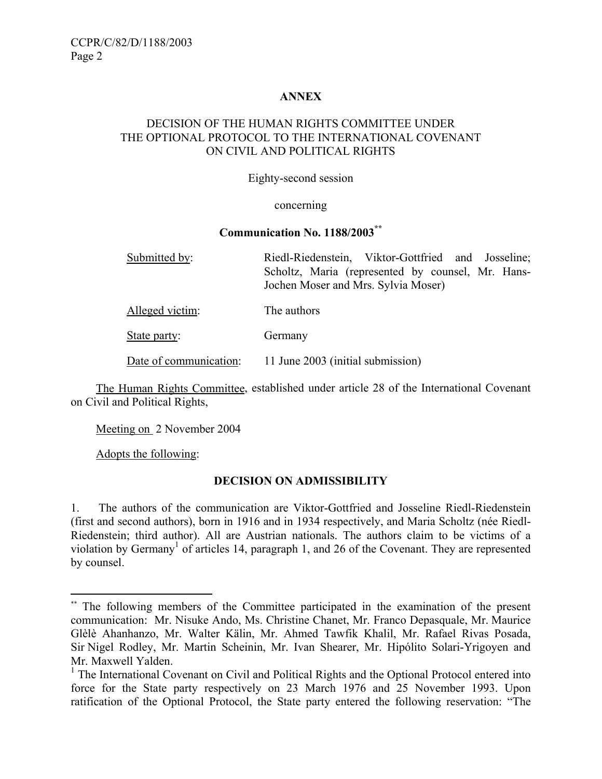## **ANNEX**

## DECISION OF THE HUMAN RIGHTS COMMITTEE UNDER THE OPTIONAL PROTOCOL TO THE INTERNATIONAL COVENANT ON CIVIL AND POLITICAL RIGHTS

#### Eighty-second session

#### concerning

#### **Communication No. 1188/2003\*\***

| Submitted by:   | Riedl-Riedenstein, Viktor-Gottfried and Josseline;                                       |
|-----------------|------------------------------------------------------------------------------------------|
|                 | Scholtz, Maria (represented by counsel, Mr. Hans-<br>Jochen Moser and Mrs. Sylvia Moser) |
| Alleged victim: | The authors                                                                              |
| State party:    | Germany                                                                                  |

Date of communication: 11 June 2003 (initial submission)

 The Human Rights Committee, established under article 28 of the International Covenant on Civil and Political Rights,

Meeting on 2 November 2004

Adopts the following:

1

#### **DECISION ON ADMISSIBILITY**

1. The authors of the communication are Viktor-Gottfried and Josseline Riedl-Riedenstein (first and second authors), born in 1916 and in 1934 respectively, and Maria Scholtz (née Riedl-Riedenstein; third author). All are Austrian nationals. The authors claim to be victims of a violation by Germany<sup>1</sup> of articles 14, paragraph 1, and 26 of the Covenant. They are represented by counsel.

<sup>\*\*</sup> The following members of the Committee participated in the examination of the present communication: Mr. Nisuke Ando, Ms. Christine Chanet, Mr. Franco Depasquale, Mr. Maurice Glèlè Ahanhanzo, Mr. Walter Kälin, Mr. Ahmed Tawfik Khalil, Mr. Rafael Rivas Posada, Sir Nigel Rodley, Mr. Martin Scheinin, Mr. Ivan Shearer, Mr. Hipólito Solari-Yrigoyen and Mr. Maxwell Yalden.

<sup>&</sup>lt;sup>1</sup> The International Covenant on Civil and Political Rights and the Optional Protocol entered into force for the State party respectively on 23 March 1976 and 25 November 1993. Upon ratification of the Optional Protocol, the State party entered the following reservation: "The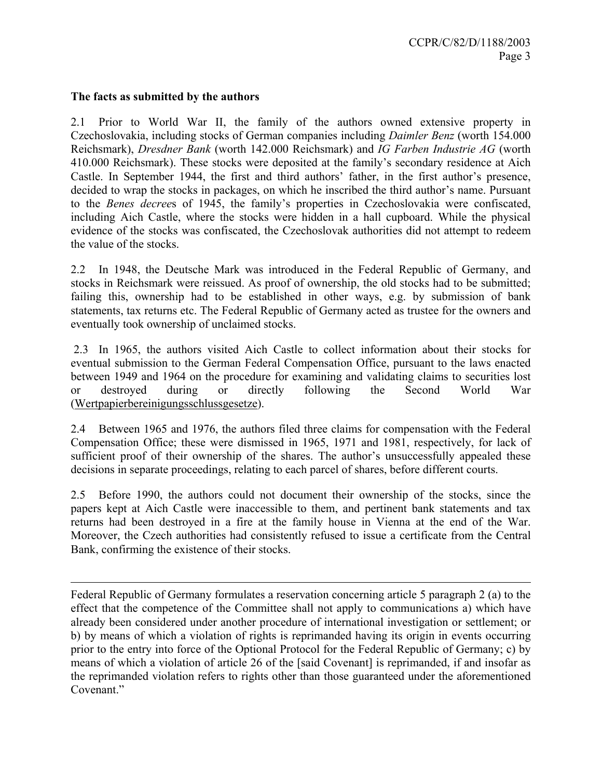#### **The facts as submitted by the authors**

1

2.1 Prior to World War II, the family of the authors owned extensive property in Czechoslovakia, including stocks of German companies including *Daimler Benz* (worth 154.000 Reichsmark), *Dresdner Bank* (worth 142.000 Reichsmark) and *IG Farben Industrie AG* (worth 410.000 Reichsmark). These stocks were deposited at the family's secondary residence at Aich Castle. In September 1944, the first and third authors' father, in the first author's presence, decided to wrap the stocks in packages, on which he inscribed the third author's name. Pursuant to the *Benes decree*s of 1945, the family's properties in Czechoslovakia were confiscated, including Aich Castle, where the stocks were hidden in a hall cupboard. While the physical evidence of the stocks was confiscated, the Czechoslovak authorities did not attempt to redeem the value of the stocks.

2.2 In 1948, the Deutsche Mark was introduced in the Federal Republic of Germany, and stocks in Reichsmark were reissued. As proof of ownership, the old stocks had to be submitted; failing this, ownership had to be established in other ways, e.g. by submission of bank statements, tax returns etc. The Federal Republic of Germany acted as trustee for the owners and eventually took ownership of unclaimed stocks.

 2.3 In 1965, the authors visited Aich Castle to collect information about their stocks for eventual submission to the German Federal Compensation Office, pursuant to the laws enacted between 1949 and 1964 on the procedure for examining and validating claims to securities lost or destroyed during or directly following the Second World War (Wertpapierbereinigungsschlussgesetze).

2.4 Between 1965 and 1976, the authors filed three claims for compensation with the Federal Compensation Office; these were dismissed in 1965, 1971 and 1981, respectively, for lack of sufficient proof of their ownership of the shares. The author's unsuccessfully appealed these decisions in separate proceedings, relating to each parcel of shares, before different courts.

2.5 Before 1990, the authors could not document their ownership of the stocks, since the papers kept at Aich Castle were inaccessible to them, and pertinent bank statements and tax returns had been destroyed in a fire at the family house in Vienna at the end of the War. Moreover, the Czech authorities had consistently refused to issue a certificate from the Central Bank, confirming the existence of their stocks.

Federal Republic of Germany formulates a reservation concerning article 5 paragraph 2 (a) to the effect that the competence of the Committee shall not apply to communications a) which have already been considered under another procedure of international investigation or settlement; or b) by means of which a violation of rights is reprimanded having its origin in events occurring prior to the entry into force of the Optional Protocol for the Federal Republic of Germany; c) by means of which a violation of article 26 of the [said Covenant] is reprimanded, if and insofar as the reprimanded violation refers to rights other than those guaranteed under the aforementioned Covenant"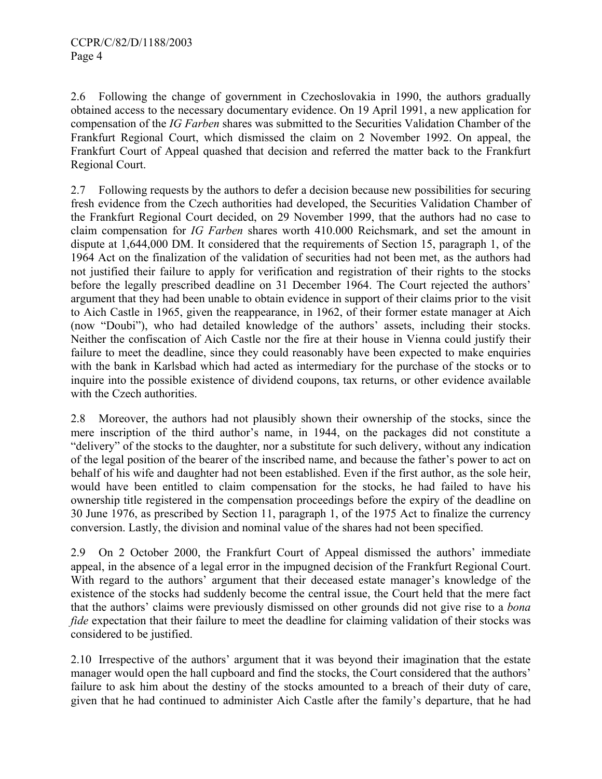2.6 Following the change of government in Czechoslovakia in 1990, the authors gradually obtained access to the necessary documentary evidence. On 19 April 1991, a new application for compensation of the *IG Farben* shares was submitted to the Securities Validation Chamber of the Frankfurt Regional Court, which dismissed the claim on 2 November 1992. On appeal, the Frankfurt Court of Appeal quashed that decision and referred the matter back to the Frankfurt Regional Court.

2.7 Following requests by the authors to defer a decision because new possibilities for securing fresh evidence from the Czech authorities had developed, the Securities Validation Chamber of the Frankfurt Regional Court decided, on 29 November 1999, that the authors had no case to claim compensation for *IG Farben* shares worth 410.000 Reichsmark, and set the amount in dispute at 1,644,000 DM. It considered that the requirements of Section 15, paragraph 1, of the 1964 Act on the finalization of the validation of securities had not been met, as the authors had not justified their failure to apply for verification and registration of their rights to the stocks before the legally prescribed deadline on 31 December 1964. The Court rejected the authors' argument that they had been unable to obtain evidence in support of their claims prior to the visit to Aich Castle in 1965, given the reappearance, in 1962, of their former estate manager at Aich (now "Doubi"), who had detailed knowledge of the authors' assets, including their stocks. Neither the confiscation of Aich Castle nor the fire at their house in Vienna could justify their failure to meet the deadline, since they could reasonably have been expected to make enquiries with the bank in Karlsbad which had acted as intermediary for the purchase of the stocks or to inquire into the possible existence of dividend coupons, tax returns, or other evidence available with the Czech authorities.

2.8 Moreover, the authors had not plausibly shown their ownership of the stocks, since the mere inscription of the third author's name, in 1944, on the packages did not constitute a "delivery" of the stocks to the daughter, nor a substitute for such delivery, without any indication of the legal position of the bearer of the inscribed name, and because the father's power to act on behalf of his wife and daughter had not been established. Even if the first author, as the sole heir, would have been entitled to claim compensation for the stocks, he had failed to have his ownership title registered in the compensation proceedings before the expiry of the deadline on 30 June 1976, as prescribed by Section 11, paragraph 1, of the 1975 Act to finalize the currency conversion. Lastly, the division and nominal value of the shares had not been specified.

2.9 On 2 October 2000, the Frankfurt Court of Appeal dismissed the authors' immediate appeal, in the absence of a legal error in the impugned decision of the Frankfurt Regional Court. With regard to the authors' argument that their deceased estate manager's knowledge of the existence of the stocks had suddenly become the central issue, the Court held that the mere fact that the authors' claims were previously dismissed on other grounds did not give rise to a *bona fide* expectation that their failure to meet the deadline for claiming validation of their stocks was considered to be justified.

2.10 Irrespective of the authors' argument that it was beyond their imagination that the estate manager would open the hall cupboard and find the stocks, the Court considered that the authors' failure to ask him about the destiny of the stocks amounted to a breach of their duty of care, given that he had continued to administer Aich Castle after the family's departure, that he had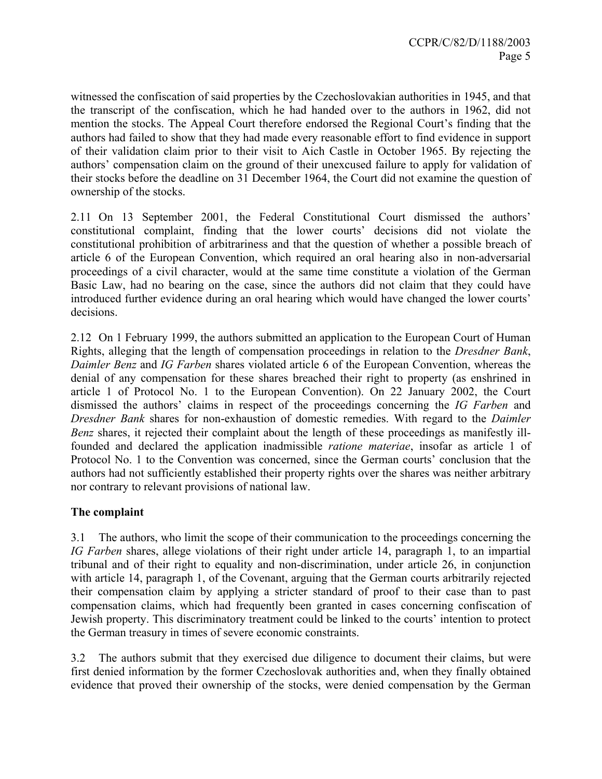witnessed the confiscation of said properties by the Czechoslovakian authorities in 1945, and that the transcript of the confiscation, which he had handed over to the authors in 1962, did not mention the stocks. The Appeal Court therefore endorsed the Regional Court's finding that the authors had failed to show that they had made every reasonable effort to find evidence in support of their validation claim prior to their visit to Aich Castle in October 1965. By rejecting the authors' compensation claim on the ground of their unexcused failure to apply for validation of their stocks before the deadline on 31 December 1964, the Court did not examine the question of ownership of the stocks.

2.11 On 13 September 2001, the Federal Constitutional Court dismissed the authors' constitutional complaint, finding that the lower courts' decisions did not violate the constitutional prohibition of arbitrariness and that the question of whether a possible breach of article 6 of the European Convention, which required an oral hearing also in non-adversarial proceedings of a civil character, would at the same time constitute a violation of the German Basic Law, had no bearing on the case, since the authors did not claim that they could have introduced further evidence during an oral hearing which would have changed the lower courts' decisions.

2.12 On 1 February 1999, the authors submitted an application to the European Court of Human Rights, alleging that the length of compensation proceedings in relation to the *Dresdner Bank*, *Daimler Benz* and *IG Farben* shares violated article 6 of the European Convention, whereas the denial of any compensation for these shares breached their right to property (as enshrined in article 1 of Protocol No. 1 to the European Convention). On 22 January 2002, the Court dismissed the authors' claims in respect of the proceedings concerning the *IG Farben* and *Dresdner Bank* shares for non-exhaustion of domestic remedies. With regard to the *Daimler Benz* shares, it rejected their complaint about the length of these proceedings as manifestly illfounded and declared the application inadmissible *ratione materiae*, insofar as article 1 of Protocol No. 1 to the Convention was concerned, since the German courts' conclusion that the authors had not sufficiently established their property rights over the shares was neither arbitrary nor contrary to relevant provisions of national law.

## **The complaint**

3.1 The authors, who limit the scope of their communication to the proceedings concerning the *IG Farben* shares, allege violations of their right under article 14, paragraph 1, to an impartial tribunal and of their right to equality and non-discrimination, under article 26, in conjunction with article 14, paragraph 1, of the Covenant, arguing that the German courts arbitrarily rejected their compensation claim by applying a stricter standard of proof to their case than to past compensation claims, which had frequently been granted in cases concerning confiscation of Jewish property. This discriminatory treatment could be linked to the courts' intention to protect the German treasury in times of severe economic constraints.

3.2 The authors submit that they exercised due diligence to document their claims, but were first denied information by the former Czechoslovak authorities and, when they finally obtained evidence that proved their ownership of the stocks, were denied compensation by the German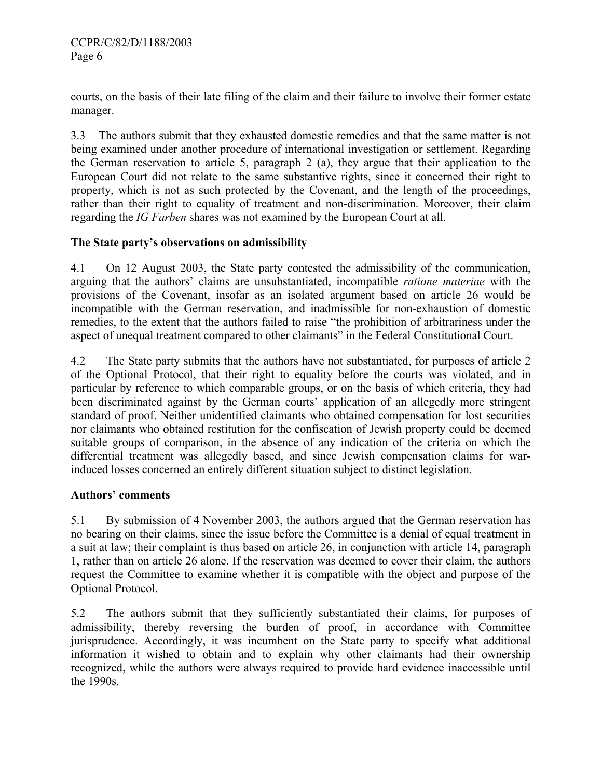courts, on the basis of their late filing of the claim and their failure to involve their former estate manager.

3.3 The authors submit that they exhausted domestic remedies and that the same matter is not being examined under another procedure of international investigation or settlement. Regarding the German reservation to article 5, paragraph 2 (a), they argue that their application to the European Court did not relate to the same substantive rights, since it concerned their right to property, which is not as such protected by the Covenant, and the length of the proceedings, rather than their right to equality of treatment and non-discrimination. Moreover, their claim regarding the *IG Farben* shares was not examined by the European Court at all.

## **The State party's observations on admissibility**

4.1 On 12 August 2003, the State party contested the admissibility of the communication, arguing that the authors' claims are unsubstantiated, incompatible *ratione materiae* with the provisions of the Covenant, insofar as an isolated argument based on article 26 would be incompatible with the German reservation, and inadmissible for non-exhaustion of domestic remedies, to the extent that the authors failed to raise "the prohibition of arbitrariness under the aspect of unequal treatment compared to other claimants" in the Federal Constitutional Court.

4.2 The State party submits that the authors have not substantiated, for purposes of article 2 of the Optional Protocol, that their right to equality before the courts was violated, and in particular by reference to which comparable groups, or on the basis of which criteria, they had been discriminated against by the German courts' application of an allegedly more stringent standard of proof. Neither unidentified claimants who obtained compensation for lost securities nor claimants who obtained restitution for the confiscation of Jewish property could be deemed suitable groups of comparison, in the absence of any indication of the criteria on which the differential treatment was allegedly based, and since Jewish compensation claims for warinduced losses concerned an entirely different situation subject to distinct legislation.

## **Authors' comments**

5.1 By submission of 4 November 2003, the authors argued that the German reservation has no bearing on their claims, since the issue before the Committee is a denial of equal treatment in a suit at law; their complaint is thus based on article 26, in conjunction with article 14, paragraph 1, rather than on article 26 alone. If the reservation was deemed to cover their claim, the authors request the Committee to examine whether it is compatible with the object and purpose of the Optional Protocol.

5.2 The authors submit that they sufficiently substantiated their claims, for purposes of admissibility, thereby reversing the burden of proof, in accordance with Committee jurisprudence. Accordingly, it was incumbent on the State party to specify what additional information it wished to obtain and to explain why other claimants had their ownership recognized, while the authors were always required to provide hard evidence inaccessible until the 1990s.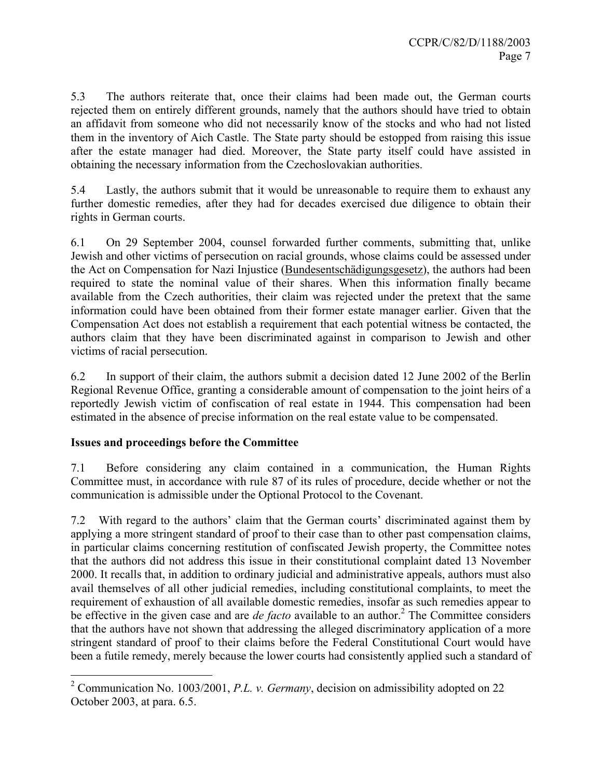5.3 The authors reiterate that, once their claims had been made out, the German courts rejected them on entirely different grounds, namely that the authors should have tried to obtain an affidavit from someone who did not necessarily know of the stocks and who had not listed them in the inventory of Aich Castle. The State party should be estopped from raising this issue after the estate manager had died. Moreover, the State party itself could have assisted in obtaining the necessary information from the Czechoslovakian authorities.

5.4 Lastly, the authors submit that it would be unreasonable to require them to exhaust any further domestic remedies, after they had for decades exercised due diligence to obtain their rights in German courts.

6.1 On 29 September 2004, counsel forwarded further comments, submitting that, unlike Jewish and other victims of persecution on racial grounds, whose claims could be assessed under the Act on Compensation for Nazi Injustice (Bundesentschädigungsgesetz), the authors had been required to state the nominal value of their shares. When this information finally became available from the Czech authorities, their claim was rejected under the pretext that the same information could have been obtained from their former estate manager earlier. Given that the Compensation Act does not establish a requirement that each potential witness be contacted, the authors claim that they have been discriminated against in comparison to Jewish and other victims of racial persecution.

6.2 In support of their claim, the authors submit a decision dated 12 June 2002 of the Berlin Regional Revenue Office, granting a considerable amount of compensation to the joint heirs of a reportedly Jewish victim of confiscation of real estate in 1944. This compensation had been estimated in the absence of precise information on the real estate value to be compensated.

## **Issues and proceedings before the Committee**

 $\overline{a}$ 

7.1 Before considering any claim contained in a communication, the Human Rights Committee must, in accordance with rule 87 of its rules of procedure, decide whether or not the communication is admissible under the Optional Protocol to the Covenant.

7.2 With regard to the authors' claim that the German courts' discriminated against them by applying a more stringent standard of proof to their case than to other past compensation claims, in particular claims concerning restitution of confiscated Jewish property, the Committee notes that the authors did not address this issue in their constitutional complaint dated 13 November 2000. It recalls that, in addition to ordinary judicial and administrative appeals, authors must also avail themselves of all other judicial remedies, including constitutional complaints, to meet the requirement of exhaustion of all available domestic remedies, insofar as such remedies appear to be effective in the given case and are *de facto* available to an author.<sup>2</sup> The Committee considers that the authors have not shown that addressing the alleged discriminatory application of a more stringent standard of proof to their claims before the Federal Constitutional Court would have been a futile remedy, merely because the lower courts had consistently applied such a standard of

<sup>2</sup> Communication No. 1003/2001, *P.L. v. Germany*, decision on admissibility adopted on 22 October 2003, at para. 6.5.